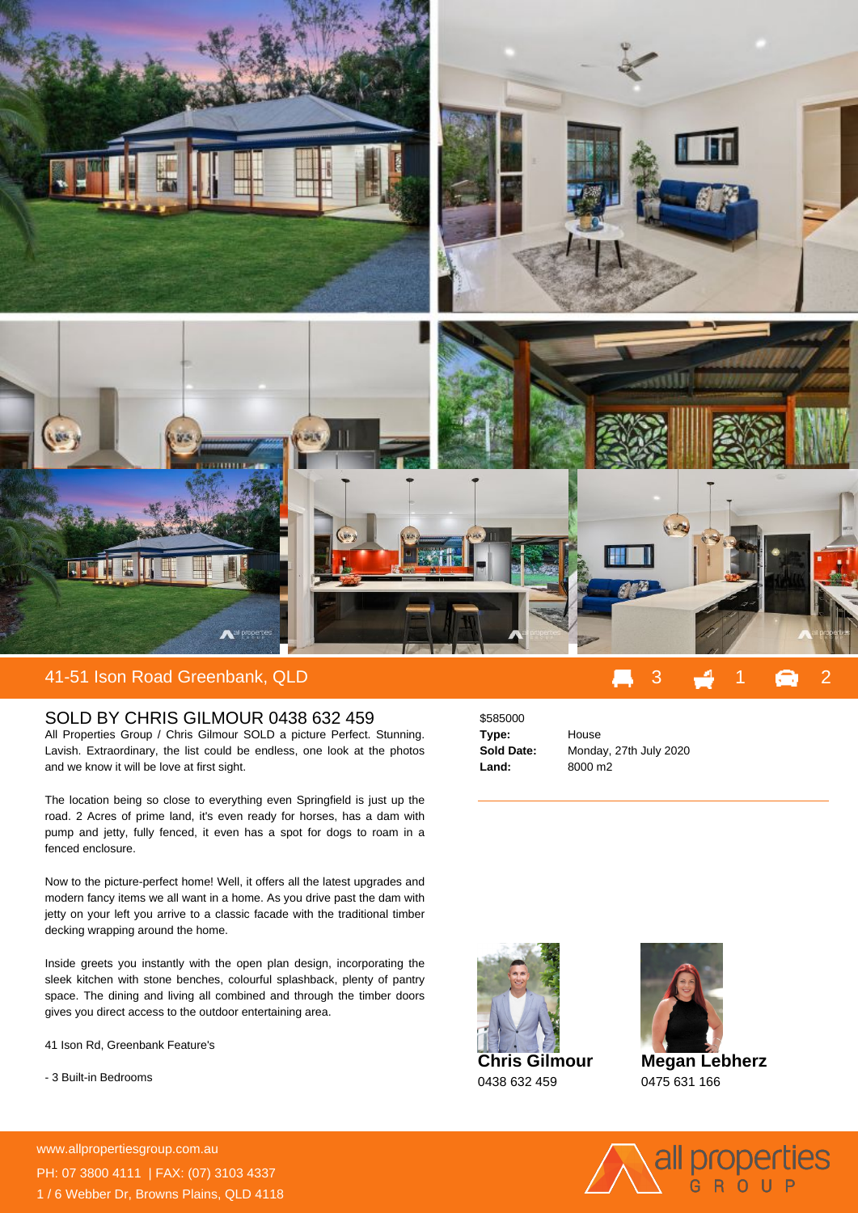

## 41-51 Ison Road Greenbank, QLD 3 1 2

## SOLD BY CHRIS GILMOUR 0438 632 459

All Properties Group / Chris Gilmour SOLD a picture Perfect. Stunning. Lavish. Extraordinary, the list could be endless, one look at the photos and we know it will be love at first sight.

The location being so close to everything even Springfield is just up the road. 2 Acres of prime land, it's even ready for horses, has a dam with pump and jetty, fully fenced, it even has a spot for dogs to roam in a fenced enclosure.

Now to the picture-perfect home! Well, it offers all the latest upgrades and modern fancy items we all want in a home. As you drive past the dam with jetty on your left you arrive to a classic facade with the traditional timber decking wrapping around the home.

Inside greets you instantly with the open plan design, incorporating the sleek kitchen with stone benches, colourful splashback, plenty of pantry space. The dining and living all combined and through the timber doors gives you direct access to the outdoor entertaining area.

41 Ison Rd, Greenbank Feature's

- 3 Built-in Bedrooms

**For more details please visit https://www.allpropertiesgroup.com.au/5547614** www.allpropertiesgroup.com.au PH: 07 3800 4111 | FAX: (07) 3103 4337 1 / 6 Webber Dr, Browns Plains, QLD 4118

\$585000 **Type:** House **Land:** 8000 m2

**Sold Date:** Monday, 27th July 2020





**Megan Lebherz** 0475 631 166